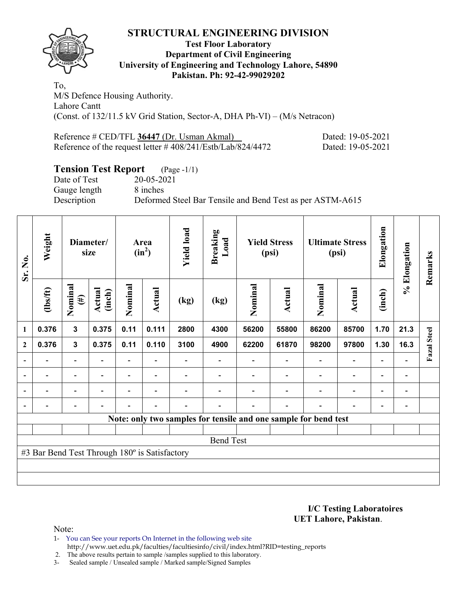### **STRUCTURAL ENGINEERING DIVISION**



#### **Test Floor Laboratory Department of Civil Engineering University of Engineering and Technology Lahore, 54890 Pakistan. Ph: 92-42-99029202**

To, M/S Defence Housing Authority. Lahore Cantt (Const. of 132/11.5 kV Grid Station, Sector-A, DHA Ph-VI) – (M/s Netracon)

| Reference # CED/TFL 36447 (Dr. Usman Akmal)                                         | Dated: 19-05-2021 |
|-------------------------------------------------------------------------------------|-------------------|
| Reference of the request letter $\# 408/241\frac{\text{Estb}}{\text{Lab}}/824/4472$ | Dated: 19-05-2021 |

### **Tension Test Report** (Page -1/1)

Date of Test 20-05-2021 Gauge length 8 inches

Description Deformed Steel Bar Tensile and Bend Test as per ASTM-A615

| Sr. No.      | Weight                                        | Diameter/<br>Area<br>$(in^2)$<br>size |                         | <b>Yield load</b>        | <b>Breaking</b><br>Load  | <b>Yield Stress</b><br>(psi) |                                                                 | <b>Ultimate Stress</b><br>(psi) |                | Elongation     | % Elongation                 | Remarks                  |                          |                    |
|--------------|-----------------------------------------------|---------------------------------------|-------------------------|--------------------------|--------------------------|------------------------------|-----------------------------------------------------------------|---------------------------------|----------------|----------------|------------------------------|--------------------------|--------------------------|--------------------|
|              | $\frac{2}{10}$                                | Nominal<br>$(\#)$                     | <b>Actual</b><br>(inch) | Nominal                  | Actual                   | (kg)                         | (kg)                                                            | Nominal                         | <b>Actual</b>  | Nominal        | <b>Actual</b>                | (inch)                   |                          |                    |
| 1            | 0.376                                         | $\mathbf{3}$                          | 0.375                   | 0.11                     | 0.111                    | 2800                         | 4300                                                            | 56200                           | 55800          | 86200          | 85700                        | 1.70                     | 21.3                     |                    |
| $\mathbf{2}$ | 0.376                                         | $\mathbf{3}$                          | 0.375                   | 0.11                     | 0.110                    | 3100                         | 4900                                                            | 62200                           | 61870          | 98200          | 97800                        | 1.30                     | 16.3                     | <b>Fazal</b> Steel |
|              |                                               | $\overline{\phantom{0}}$              |                         | $\overline{\phantom{0}}$ |                          |                              |                                                                 |                                 |                |                | $\qquad \qquad \blacksquare$ | $\overline{\phantom{0}}$ |                          |                    |
|              |                                               | $\overline{\phantom{0}}$              |                         |                          |                          |                              |                                                                 |                                 |                |                | $\overline{\phantom{0}}$     | $\overline{\phantom{0}}$ | $\overline{\phantom{0}}$ |                    |
|              | $\blacksquare$                                | $\blacksquare$                        |                         |                          | $\overline{\phantom{a}}$ |                              |                                                                 |                                 |                | $\blacksquare$ | $\overline{\phantom{0}}$     | $\overline{\phantom{0}}$ | $\blacksquare$           |                    |
|              | $\overline{\phantom{0}}$                      | $\blacksquare$                        |                         |                          | ۰                        |                              |                                                                 |                                 | $\blacksquare$ | $\blacksquare$ | $\overline{\phantom{0}}$     | $\overline{\phantom{a}}$ | $\overline{\phantom{0}}$ |                    |
|              |                                               |                                       |                         |                          |                          |                              | Note: only two samples for tensile and one sample for bend test |                                 |                |                |                              |                          |                          |                    |
|              |                                               |                                       |                         |                          |                          |                              |                                                                 |                                 |                |                |                              |                          |                          |                    |
|              | <b>Bend Test</b>                              |                                       |                         |                          |                          |                              |                                                                 |                                 |                |                |                              |                          |                          |                    |
|              | #3 Bar Bend Test Through 180° is Satisfactory |                                       |                         |                          |                          |                              |                                                                 |                                 |                |                |                              |                          |                          |                    |
|              |                                               |                                       |                         |                          |                          |                              |                                                                 |                                 |                |                |                              |                          |                          |                    |
|              |                                               |                                       |                         |                          |                          |                              |                                                                 |                                 |                |                |                              |                          |                          |                    |

**I/C Testing Laboratoires UET Lahore, Pakistan**.

Note:

- 1- You can See your reports On Internet in the following web site http://www.uet.edu.pk/faculties/facultiesinfo/civil/index.html?RID=testing\_reports
- 2. The above results pertain to sample /samples supplied to this laboratory.
- 3- Sealed sample / Unsealed sample / Marked sample/Signed Samples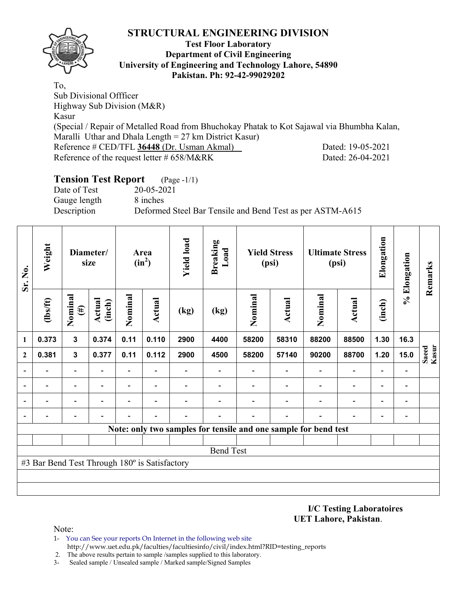## **STRUCTURAL ENGINEERING DIVISION**



#### **Test Floor Laboratory Department of Civil Engineering University of Engineering and Technology Lahore, 54890 Pakistan. Ph: 92-42-99029202**

To, Sub Divisional Offficer Highway Sub Division (M&R) Kasur (Special / Repair of Metalled Road from Bhuchokay Phatak to Kot Sajawal via Bhumbha Kalan, Maralli Uthar and Dhala Length  $= 27$  km District Kasur) Reference # CED/TFL **36448** (Dr. Usman Akmal) Dated: 19-05-2021 Reference of the request letter # 658/M&RK Dated: 26-04-2021

### **Tension Test Report** (Page -1/1)

Date of Test 20-05-2021 Gauge length 8 inches

Description Deformed Steel Bar Tensile and Bend Test as per ASTM-A615

| Sr. No.      | Weight                                        |                          | Diameter/<br>size       |         | Area<br>$(in^2)$         | <b>Yield load</b> | <b>Breaking</b><br>Load  |         | <b>Yield Stress</b><br>(psi)                                    |                          | <b>Ultimate Stress</b><br>(psi) | Elongation               | % Elongation             | Remarks        |
|--------------|-----------------------------------------------|--------------------------|-------------------------|---------|--------------------------|-------------------|--------------------------|---------|-----------------------------------------------------------------|--------------------------|---------------------------------|--------------------------|--------------------------|----------------|
|              | $\frac{2}{10}$                                | Nominal<br>$(\#)$        | <b>Actual</b><br>(inch) | Nominal | Actual                   | (kg)              | (kg)                     | Nominal | <b>Actual</b>                                                   | Nominal                  | <b>Actual</b>                   | (inch)                   |                          |                |
| 1            | 0.373                                         | $\mathbf{3}$             | 0.374                   | 0.11    | 0.110                    | 2900              | 4400                     | 58200   | 58310                                                           | 88200                    | 88500                           | 1.30                     | 16.3                     |                |
| $\mathbf{2}$ | 0.381                                         | $\mathbf{3}$             | 0.377                   | 0.11    | 0.112                    | 2900              | 4500                     | 58200   | 57140                                                           | 90200                    | 88700                           | 1.20                     | 15.0                     | Kasur<br>Saeed |
|              | $\overline{\phantom{0}}$                      | $\overline{\phantom{a}}$ |                         | Ξ.      | $\overline{\phantom{a}}$ |                   | $\overline{\phantom{0}}$ |         |                                                                 | $\overline{\phantom{0}}$ | $\overline{\phantom{a}}$        | $\overline{\phantom{0}}$ | $\blacksquare$           |                |
|              |                                               | -                        |                         | -       | $\overline{\phantom{0}}$ |                   |                          |         |                                                                 | $\overline{\phantom{0}}$ | $\overline{\phantom{a}}$        | ٠                        |                          |                |
|              |                                               | $\overline{\phantom{0}}$ |                         | -       | ٠                        |                   |                          |         |                                                                 |                          | $\overline{\phantom{0}}$        | $\overline{\phantom{0}}$ | $\overline{\phantom{0}}$ |                |
|              |                                               |                          |                         |         |                          |                   |                          |         |                                                                 |                          |                                 |                          |                          |                |
|              |                                               |                          |                         |         |                          |                   |                          |         | Note: only two samples for tensile and one sample for bend test |                          |                                 |                          |                          |                |
|              |                                               |                          |                         |         |                          |                   |                          |         |                                                                 |                          |                                 |                          |                          |                |
|              |                                               |                          |                         |         |                          |                   | <b>Bend Test</b>         |         |                                                                 |                          |                                 |                          |                          |                |
|              | #3 Bar Bend Test Through 180° is Satisfactory |                          |                         |         |                          |                   |                          |         |                                                                 |                          |                                 |                          |                          |                |
|              |                                               |                          |                         |         |                          |                   |                          |         |                                                                 |                          |                                 |                          |                          |                |
|              |                                               |                          |                         |         |                          |                   |                          |         |                                                                 |                          |                                 |                          |                          |                |

**I/C Testing Laboratoires UET Lahore, Pakistan**.

Note:

- 1- You can See your reports On Internet in the following web site http://www.uet.edu.pk/faculties/facultiesinfo/civil/index.html?RID=testing\_reports
- 2. The above results pertain to sample /samples supplied to this laboratory.
- 3- Sealed sample / Unsealed sample / Marked sample/Signed Samples